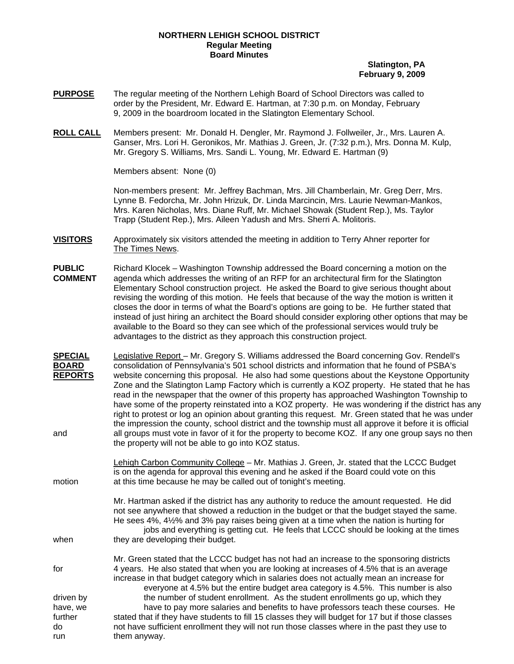## **NORTHERN LEHIGH SCHOOL DISTRICT Regular Meeting Board Minutes**

## **Slatington, PA February 9, 2009**

- **PURPOSE** The regular meeting of the Northern Lehigh Board of School Directors was called to order by the President, Mr. Edward E. Hartman, at 7:30 p.m. on Monday, February 9, 2009 in the boardroom located in the Slatington Elementary School.
- **ROLL CALL** Members present: Mr. Donald H. Dengler, Mr. Raymond J. Follweiler, Jr., Mrs. Lauren A. Ganser, Mrs. Lori H. Geronikos, Mr. Mathias J. Green, Jr. (7:32 p.m.), Mrs. Donna M. Kulp, Mr. Gregory S. Williams, Mrs. Sandi L. Young, Mr. Edward E. Hartman (9)

Members absent: None (0)

Non-members present: Mr. Jeffrey Bachman, Mrs. Jill Chamberlain, Mr. Greg Derr, Mrs. Lynne B. Fedorcha, Mr. John Hrizuk, Dr. Linda Marcincin, Mrs. Laurie Newman-Mankos, Mrs. Karen Nicholas, Mrs. Diane Ruff, Mr. Michael Showak (Student Rep.), Ms. Taylor Trapp (Student Rep.), Mrs. Aileen Yadush and Mrs. Sherri A. Molitoris.

- **VISITORS** Approximately six visitors attended the meeting in addition to Terry Ahner reporter for The Times News.
- **PUBLIC** Richard Klocek Washington Township addressed the Board concerning a motion on the <br>**COMMENT** agenda which addresses the writing of an RFP for an architectural firm for the Slatington agenda which addresses the writing of an RFP for an architectural firm for the Slatington Elementary School construction project. He asked the Board to give serious thought about revising the wording of this motion. He feels that because of the way the motion is written it closes the door in terms of what the Board's options are going to be. He further stated that instead of just hiring an architect the Board should consider exploring other options that may be available to the Board so they can see which of the professional services would truly be advantages to the district as they approach this construction project.
- **SPECIAL** Legislative Report Mr. Gregory S. Williams addressed the Board concerning Gov. Rendell's **BOARD** consolidation of Pennsylvania's 501 school districts and information that he found of PSBA's **REPORTS** website concerning this proposal. He also had some questions about the Keystone Opportunity Zone and the Slatington Lamp Factory which is currently a KOZ property. He stated that he has read in the newspaper that the owner of this property has approached Washington Township to have some of the property reinstated into a KOZ property. He was wondering if the district has any right to protest or log an opinion about granting this request. Mr. Green stated that he was under the impression the county, school district and the township must all approve it before it is official and all groups must vote in favor of it for the property to become KOZ. If any one group says no then the property will not be able to go into KOZ status.
- Lehigh Carbon Community College Mr. Mathias J. Green, Jr. stated that the LCCC Budget is on the agenda for approval this evening and he asked if the Board could vote on this motion at this time because he may be called out of tonight's meeting.
- Mr. Hartman asked if the district has any authority to reduce the amount requested. He did not see anywhere that showed a reduction in the budget or that the budget stayed the same. He sees 4%, 4½% and 3% pay raises being given at a time when the nation is hurting for jobs and everything is getting cut. He feels that LCCC should be looking at the times when they are developing their budget.

 Mr. Green stated that the LCCC budget has not had an increase to the sponsoring districts for 4 years. He also stated that when you are looking at increases of 4.5% that is an average increase in that budget category which in salaries does not actually mean an increase for everyone at 4.5% but the entire budget area category is 4.5%. This number is also driven by the number of student enrollment. As the student enrollments go up, which they have, we have to pay more salaries and benefits to have professors teach these courses. He further stated that if they have students to fill 15 classes they will budget for 17 but if those classes do not have sufficient enrollment they will not run those classes where in the past they use to run them anyway.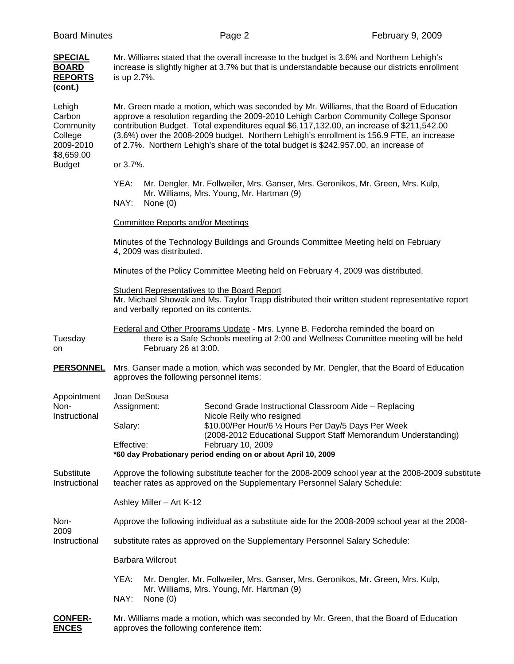|  | <b>Board Minutes</b> |
|--|----------------------|
|--|----------------------|

| <b>SPECIAL</b><br><b>BOARD</b><br><b>REPORTS</b><br>(cont.)                          | Mr. Williams stated that the overall increase to the budget is 3.6% and Northern Lehigh's<br>increase is slightly higher at 3.7% but that is understandable because our districts enrollment<br>is up 2.7%.                                                                                                                                                                                                                                                       |                                                                                                                                                                         |  |  |  |  |
|--------------------------------------------------------------------------------------|-------------------------------------------------------------------------------------------------------------------------------------------------------------------------------------------------------------------------------------------------------------------------------------------------------------------------------------------------------------------------------------------------------------------------------------------------------------------|-------------------------------------------------------------------------------------------------------------------------------------------------------------------------|--|--|--|--|
| Lehigh<br>Carbon<br>Community<br>College<br>2009-2010<br>\$8,659.00<br><b>Budget</b> | Mr. Green made a motion, which was seconded by Mr. Williams, that the Board of Education<br>approve a resolution regarding the 2009-2010 Lehigh Carbon Community College Sponsor<br>contribution Budget. Total expenditures equal \$6,117,132.00, an increase of \$211,542.00<br>(3.6%) over the 2008-2009 budget. Northern Lehigh's enrollment is 156.9 FTE, an increase<br>of 2.7%. Northern Lehigh's share of the total budget is \$242.957.00, an increase of |                                                                                                                                                                         |  |  |  |  |
|                                                                                      | or 3.7%.                                                                                                                                                                                                                                                                                                                                                                                                                                                          |                                                                                                                                                                         |  |  |  |  |
|                                                                                      | YEA:<br>NAY:<br>None $(0)$                                                                                                                                                                                                                                                                                                                                                                                                                                        | Mr. Dengler, Mr. Follweiler, Mrs. Ganser, Mrs. Geronikos, Mr. Green, Mrs. Kulp,<br>Mr. Williams, Mrs. Young, Mr. Hartman (9)                                            |  |  |  |  |
|                                                                                      | <b>Committee Reports and/or Meetings</b>                                                                                                                                                                                                                                                                                                                                                                                                                          |                                                                                                                                                                         |  |  |  |  |
|                                                                                      | Minutes of the Technology Buildings and Grounds Committee Meeting held on February<br>4, 2009 was distributed.                                                                                                                                                                                                                                                                                                                                                    |                                                                                                                                                                         |  |  |  |  |
|                                                                                      | Minutes of the Policy Committee Meeting held on February 4, 2009 was distributed.                                                                                                                                                                                                                                                                                                                                                                                 |                                                                                                                                                                         |  |  |  |  |
|                                                                                      | <b>Student Representatives to the Board Report</b><br>Mr. Michael Showak and Ms. Taylor Trapp distributed their written student representative report<br>and verbally reported on its contents.                                                                                                                                                                                                                                                                   |                                                                                                                                                                         |  |  |  |  |
| Tuesday<br>on                                                                        | February 26 at 3:00.                                                                                                                                                                                                                                                                                                                                                                                                                                              | Federal and Other Programs Update - Mrs. Lynne B. Fedorcha reminded the board on<br>there is a Safe Schools meeting at 2:00 and Wellness Committee meeting will be held |  |  |  |  |
| <b>PERSONNEL</b>                                                                     | Mrs. Ganser made a motion, which was seconded by Mr. Dengler, that the Board of Education<br>approves the following personnel items:                                                                                                                                                                                                                                                                                                                              |                                                                                                                                                                         |  |  |  |  |
| Appointment<br>Non-<br>Instructional                                                 | Joan DeSousa<br>Assignment:                                                                                                                                                                                                                                                                                                                                                                                                                                       | Second Grade Instructional Classroom Aide - Replacing<br>Nicole Reily who resigned                                                                                      |  |  |  |  |
|                                                                                      | Salary:<br>Effective:                                                                                                                                                                                                                                                                                                                                                                                                                                             | \$10.00/Per Hour/6 1/2 Hours Per Day/5 Days Per Week<br>(2008-2012 Educational Support Staff Memorandum Understanding)<br>February 10, 2009                             |  |  |  |  |
|                                                                                      | *60 day Probationary period ending on or about April 10, 2009                                                                                                                                                                                                                                                                                                                                                                                                     |                                                                                                                                                                         |  |  |  |  |
| Substitute<br>Instructional                                                          | Approve the following substitute teacher for the 2008-2009 school year at the 2008-2009 substitute<br>teacher rates as approved on the Supplementary Personnel Salary Schedule:                                                                                                                                                                                                                                                                                   |                                                                                                                                                                         |  |  |  |  |
|                                                                                      | Ashley Miller - Art K-12                                                                                                                                                                                                                                                                                                                                                                                                                                          |                                                                                                                                                                         |  |  |  |  |
| Non-<br>2009<br>Instructional                                                        | Approve the following individual as a substitute aide for the 2008-2009 school year at the 2008-                                                                                                                                                                                                                                                                                                                                                                  |                                                                                                                                                                         |  |  |  |  |
|                                                                                      | substitute rates as approved on the Supplementary Personnel Salary Schedule:                                                                                                                                                                                                                                                                                                                                                                                      |                                                                                                                                                                         |  |  |  |  |
|                                                                                      | <b>Barbara Wilcrout</b>                                                                                                                                                                                                                                                                                                                                                                                                                                           |                                                                                                                                                                         |  |  |  |  |
|                                                                                      | YEA:                                                                                                                                                                                                                                                                                                                                                                                                                                                              | Mr. Dengler, Mr. Follweiler, Mrs. Ganser, Mrs. Geronikos, Mr. Green, Mrs. Kulp,<br>Mr. Williams, Mrs. Young, Mr. Hartman (9)                                            |  |  |  |  |
|                                                                                      | NAY:<br>None $(0)$                                                                                                                                                                                                                                                                                                                                                                                                                                                |                                                                                                                                                                         |  |  |  |  |
| <b>CONFER-</b><br><b>ENCES</b>                                                       | Mr. Williams made a motion, which was seconded by Mr. Green, that the Board of Education<br>approves the following conference item:                                                                                                                                                                                                                                                                                                                               |                                                                                                                                                                         |  |  |  |  |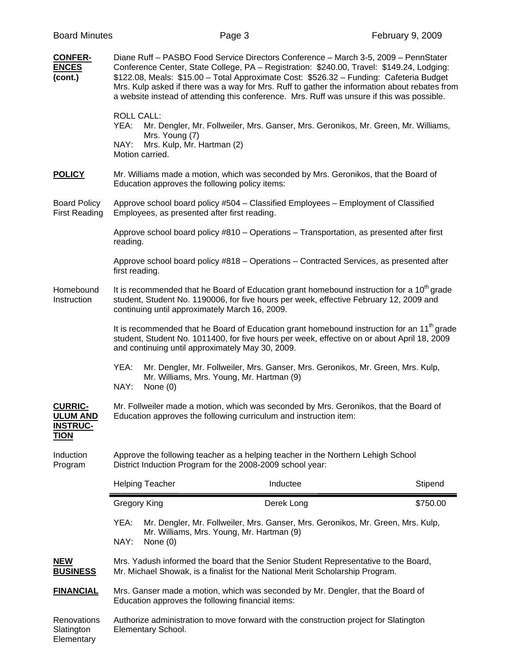| <b>CONFER-</b><br><b>ENCES</b><br>(cont.)                           | Diane Ruff - PASBO Food Service Directors Conference - March 3-5, 2009 - PennStater<br>Conference Center, State College, PA - Registration: \$240.00, Travel: \$149.24, Lodging:<br>\$122.08, Meals: \$15.00 - Total Approximate Cost: \$526.32 - Funding: Cafeteria Budget<br>Mrs. Kulp asked if there was a way for Mrs. Ruff to gather the information about rebates from<br>a website instead of attending this conference. Mrs. Ruff was unsure if this was possible.<br><b>ROLL CALL:</b> |                                                |            |                                                                                       |          |
|---------------------------------------------------------------------|-------------------------------------------------------------------------------------------------------------------------------------------------------------------------------------------------------------------------------------------------------------------------------------------------------------------------------------------------------------------------------------------------------------------------------------------------------------------------------------------------|------------------------------------------------|------------|---------------------------------------------------------------------------------------|----------|
|                                                                     | YEA:<br>Mrs. Young (7)<br>NAY:<br>Motion carried.                                                                                                                                                                                                                                                                                                                                                                                                                                               | Mrs. Kulp, Mr. Hartman (2)                     |            | Mr. Dengler, Mr. Follweiler, Mrs. Ganser, Mrs. Geronikos, Mr. Green, Mr. Williams,    |          |
| <b>POLICY</b>                                                       |                                                                                                                                                                                                                                                                                                                                                                                                                                                                                                 | Education approves the following policy items: |            | Mr. Williams made a motion, which was seconded by Mrs. Geronikos, that the Board of   |          |
| <b>Board Policy</b><br><b>First Reading</b>                         | Approve school board policy #504 - Classified Employees - Employment of Classified<br>Employees, as presented after first reading.                                                                                                                                                                                                                                                                                                                                                              |                                                |            |                                                                                       |          |
|                                                                     | Approve school board policy #810 – Operations – Transportation, as presented after first<br>reading.                                                                                                                                                                                                                                                                                                                                                                                            |                                                |            |                                                                                       |          |
|                                                                     | Approve school board policy #818 - Operations - Contracted Services, as presented after<br>first reading.                                                                                                                                                                                                                                                                                                                                                                                       |                                                |            |                                                                                       |          |
| Homebound<br>Instruction                                            | It is recommended that he Board of Education grant homebound instruction for a 10 <sup>th</sup> grade<br>student, Student No. 1190006, for five hours per week, effective February 12, 2009 and<br>continuing until approximately March 16, 2009.                                                                                                                                                                                                                                               |                                                |            |                                                                                       |          |
|                                                                     | It is recommended that he Board of Education grant homebound instruction for an $11th$ grade<br>student, Student No. 1011400, for five hours per week, effective on or about April 18, 2009<br>and continuing until approximately May 30, 2009.                                                                                                                                                                                                                                                 |                                                |            |                                                                                       |          |
|                                                                     | YEA:<br>Mr. Dengler, Mr. Follweiler, Mrs. Ganser, Mrs. Geronikos, Mr. Green, Mrs. Kulp,<br>Mr. Williams, Mrs. Young, Mr. Hartman (9)<br>NAY:<br>None $(0)$                                                                                                                                                                                                                                                                                                                                      |                                                |            |                                                                                       |          |
| <b>CURRIC-</b><br><b>ULUM AND</b><br><b>INSTRUC-</b><br><u>TION</u> | Mr. Follweiler made a motion, which was seconded by Mrs. Geronikos, that the Board of<br>Education approves the following curriculum and instruction item:                                                                                                                                                                                                                                                                                                                                      |                                                |            |                                                                                       |          |
| Induction<br>Program                                                | Approve the following teacher as a helping teacher in the Northern Lehigh School<br>District Induction Program for the 2008-2009 school year:                                                                                                                                                                                                                                                                                                                                                   |                                                |            |                                                                                       |          |
|                                                                     | <b>Helping Teacher</b>                                                                                                                                                                                                                                                                                                                                                                                                                                                                          |                                                | Inductee   |                                                                                       | Stipend  |
|                                                                     | <b>Gregory King</b>                                                                                                                                                                                                                                                                                                                                                                                                                                                                             |                                                | Derek Long |                                                                                       | \$750.00 |
|                                                                     | YEA:<br>Mr. Dengler, Mr. Follweiler, Mrs. Ganser, Mrs. Geronikos, Mr. Green, Mrs. Kulp,<br>Mr. Williams, Mrs. Young, Mr. Hartman (9)<br>NAY:<br>None $(0)$                                                                                                                                                                                                                                                                                                                                      |                                                |            |                                                                                       |          |
| <b>NEW</b><br><b>BUSINESS</b>                                       | Mrs. Yadush informed the board that the Senior Student Representative to the Board,<br>Mr. Michael Showak, is a finalist for the National Merit Scholarship Program.                                                                                                                                                                                                                                                                                                                            |                                                |            |                                                                                       |          |
| <b>FINANCIAL</b>                                                    | Mrs. Ganser made a motion, which was seconded by Mr. Dengler, that the Board of<br>Education approves the following financial items:                                                                                                                                                                                                                                                                                                                                                            |                                                |            |                                                                                       |          |
| Renovations<br>Slatington<br>Elementary                             | Elementary School.                                                                                                                                                                                                                                                                                                                                                                                                                                                                              |                                                |            | Authorize administration to move forward with the construction project for Slatington |          |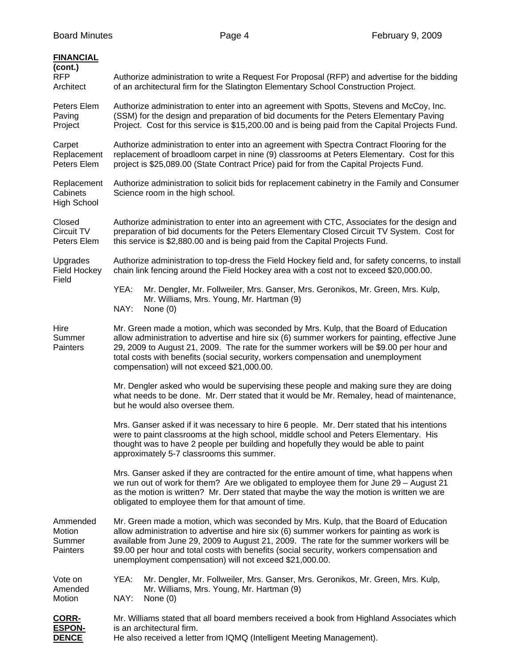| <b>FINANCIAL</b><br>(cont.)<br><b>RFP</b><br>Architect | Authorize administration to write a Request For Proposal (RFP) and advertise for the bidding<br>of an architectural firm for the Slatington Elementary School Construction Project.                                                                                                                                                                                                                                                   |  |  |  |  |
|--------------------------------------------------------|---------------------------------------------------------------------------------------------------------------------------------------------------------------------------------------------------------------------------------------------------------------------------------------------------------------------------------------------------------------------------------------------------------------------------------------|--|--|--|--|
| Peters Elem<br>Paving<br>Project                       | Authorize administration to enter into an agreement with Spotts, Stevens and McCoy, Inc.<br>(SSM) for the design and preparation of bid documents for the Peters Elementary Paving<br>Project. Cost for this service is \$15,200.00 and is being paid from the Capital Projects Fund.                                                                                                                                                 |  |  |  |  |
| Carpet<br>Replacement<br>Peters Elem                   | Authorize administration to enter into an agreement with Spectra Contract Flooring for the<br>replacement of broadloom carpet in nine (9) classrooms at Peters Elementary. Cost for this<br>project is \$25,089.00 (State Contract Price) paid for from the Capital Projects Fund.                                                                                                                                                    |  |  |  |  |
| Replacement<br>Cabinets<br><b>High School</b>          | Authorize administration to solicit bids for replacement cabinetry in the Family and Consumer<br>Science room in the high school.                                                                                                                                                                                                                                                                                                     |  |  |  |  |
| Closed<br>Circuit TV<br>Peters Elem                    | Authorize administration to enter into an agreement with CTC, Associates for the design and<br>preparation of bid documents for the Peters Elementary Closed Circuit TV System. Cost for<br>this service is \$2,880.00 and is being paid from the Capital Projects Fund.                                                                                                                                                              |  |  |  |  |
| Upgrades<br>Field Hockey<br>Field                      | Authorize administration to top-dress the Field Hockey field and, for safety concerns, to install<br>chain link fencing around the Field Hockey area with a cost not to exceed \$20,000.00.                                                                                                                                                                                                                                           |  |  |  |  |
|                                                        | YEA:<br>Mr. Dengler, Mr. Follweiler, Mrs. Ganser, Mrs. Geronikos, Mr. Green, Mrs. Kulp,<br>Mr. Williams, Mrs. Young, Mr. Hartman (9)<br>NAY:<br>None $(0)$                                                                                                                                                                                                                                                                            |  |  |  |  |
| Hire<br>Summer<br>Painters                             | Mr. Green made a motion, which was seconded by Mrs. Kulp, that the Board of Education<br>allow administration to advertise and hire six (6) summer workers for painting, effective June<br>29, 2009 to August 21, 2009. The rate for the summer workers will be \$9.00 per hour and<br>total costs with benefits (social security, workers compensation and unemployment<br>compensation) will not exceed \$21,000.00.                |  |  |  |  |
|                                                        | Mr. Dengler asked who would be supervising these people and making sure they are doing<br>what needs to be done. Mr. Derr stated that it would be Mr. Remaley, head of maintenance,<br>but he would also oversee them.                                                                                                                                                                                                                |  |  |  |  |
|                                                        | Mrs. Ganser asked if it was necessary to hire 6 people. Mr. Derr stated that his intentions<br>were to paint classrooms at the high school, middle school and Peters Elementary. His<br>thought was to have 2 people per building and hopefully they would be able to paint<br>approximately 5-7 classrooms this summer.                                                                                                              |  |  |  |  |
|                                                        | Mrs. Ganser asked if they are contracted for the entire amount of time, what happens when<br>we run out of work for them? Are we obligated to employee them for June 29 - August 21<br>as the motion is written? Mr. Derr stated that maybe the way the motion is written we are<br>obligated to employee them for that amount of time.                                                                                               |  |  |  |  |
| Ammended<br>Motion<br>Summer<br>Painters               | Mr. Green made a motion, which was seconded by Mrs. Kulp, that the Board of Education<br>allow administration to advertise and hire six (6) summer workers for painting as work is<br>available from June 29, 2009 to August 21, 2009. The rate for the summer workers will be<br>\$9.00 per hour and total costs with benefits (social security, workers compensation and<br>unemployment compensation) will not exceed \$21,000.00. |  |  |  |  |
| Vote on<br>Amended<br>Motion                           | YEA:<br>Mr. Dengler, Mr. Follweiler, Mrs. Ganser, Mrs. Geronikos, Mr. Green, Mrs. Kulp,<br>Mr. Williams, Mrs. Young, Mr. Hartman (9)<br>NAY:<br>None $(0)$                                                                                                                                                                                                                                                                            |  |  |  |  |
| <b>CORR-</b><br><b>ESPON-</b><br><b>DENCE</b>          | Mr. Williams stated that all board members received a book from Highland Associates which<br>is an architectural firm.<br>He also received a letter from IQMQ (Intelligent Meeting Management).                                                                                                                                                                                                                                       |  |  |  |  |